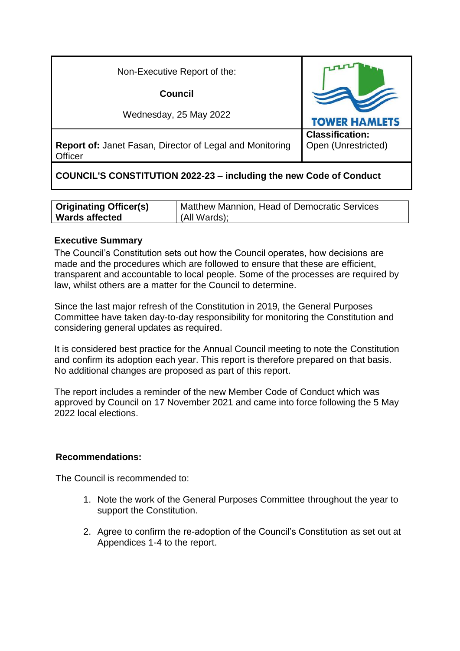| Non-Executive Report of the:                                               |                                               |
|----------------------------------------------------------------------------|-----------------------------------------------|
| Council                                                                    |                                               |
| Wednesday, 25 May 2022                                                     | <b>TOWER HAMLETS</b>                          |
| <b>Report of: Janet Fasan, Director of Legal and Monitoring</b><br>Officer | <b>Classification:</b><br>Open (Unrestricted) |

# **COUNCIL'S CONSTITUTION 2022-23 – including the new Code of Conduct**

| <b>Originating Officer(s)</b> | Matthew Mannion, Head of Democratic Services |
|-------------------------------|----------------------------------------------|
| <b>Wards affected</b>         | (All Wards);                                 |

### **Executive Summary**

The Council's Constitution sets out how the Council operates, how decisions are made and the procedures which are followed to ensure that these are efficient, transparent and accountable to local people. Some of the processes are required by law, whilst others are a matter for the Council to determine.

Since the last major refresh of the Constitution in 2019, the General Purposes Committee have taken day-to-day responsibility for monitoring the Constitution and considering general updates as required.

It is considered best practice for the Annual Council meeting to note the Constitution and confirm its adoption each year. This report is therefore prepared on that basis. No additional changes are proposed as part of this report.

The report includes a reminder of the new Member Code of Conduct which was approved by Council on 17 November 2021 and came into force following the 5 May 2022 local elections.

### **Recommendations:**

The Council is recommended to:

- 1. Note the work of the General Purposes Committee throughout the year to support the Constitution.
- 2. Agree to confirm the re-adoption of the Council's Constitution as set out at Appendices 1-4 to the report.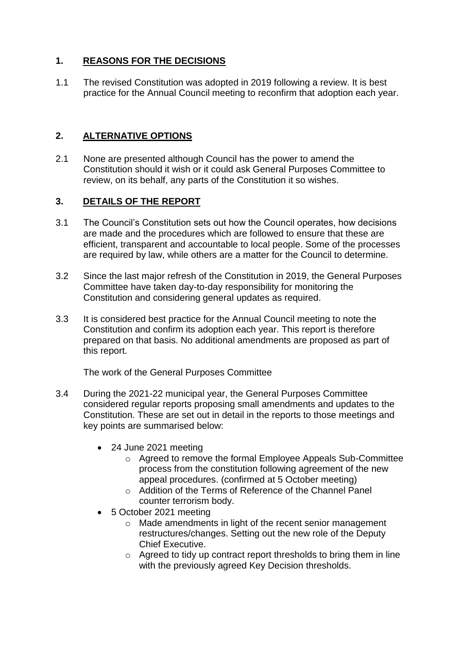## **1. REASONS FOR THE DECISIONS**

1.1 The revised Constitution was adopted in 2019 following a review. It is best practice for the Annual Council meeting to reconfirm that adoption each year.

### **2. ALTERNATIVE OPTIONS**

2.1 None are presented although Council has the power to amend the Constitution should it wish or it could ask General Purposes Committee to review, on its behalf, any parts of the Constitution it so wishes.

## **3. DETAILS OF THE REPORT**

- 3.1 The Council's Constitution sets out how the Council operates, how decisions are made and the procedures which are followed to ensure that these are efficient, transparent and accountable to local people. Some of the processes are required by law, while others are a matter for the Council to determine.
- 3.2 Since the last major refresh of the Constitution in 2019, the General Purposes Committee have taken day-to-day responsibility for monitoring the Constitution and considering general updates as required.
- 3.3 It is considered best practice for the Annual Council meeting to note the Constitution and confirm its adoption each year. This report is therefore prepared on that basis. No additional amendments are proposed as part of this report.

The work of the General Purposes Committee

- 3.4 During the 2021-22 municipal year, the General Purposes Committee considered regular reports proposing small amendments and updates to the Constitution. These are set out in detail in the reports to those meetings and key points are summarised below:
	- 24 June 2021 meeting
		- o Agreed to remove the formal Employee Appeals Sub-Committee process from the constitution following agreement of the new appeal procedures. (confirmed at 5 October meeting)
		- o Addition of the Terms of Reference of the Channel Panel counter terrorism body.
	- 5 October 2021 meeting
		- o Made amendments in light of the recent senior management restructures/changes. Setting out the new role of the Deputy Chief Executive.
		- $\circ$  Agreed to tidy up contract report thresholds to bring them in line with the previously agreed Key Decision thresholds.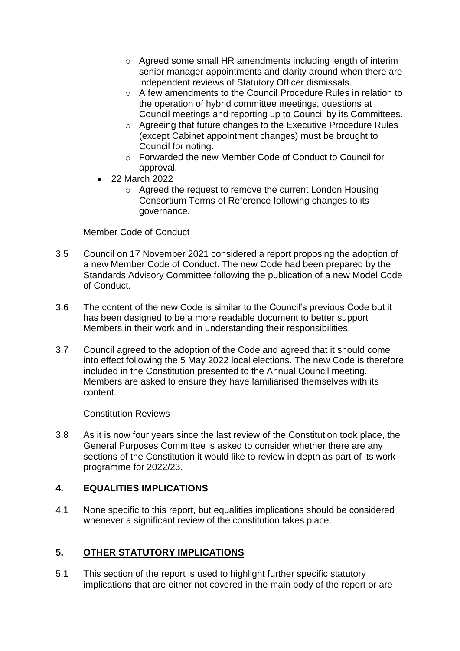- o Agreed some small HR amendments including length of interim senior manager appointments and clarity around when there are independent reviews of Statutory Officer dismissals.
- o A few amendments to the Council Procedure Rules in relation to the operation of hybrid committee meetings, questions at Council meetings and reporting up to Council by its Committees.
- o Agreeing that future changes to the Executive Procedure Rules (except Cabinet appointment changes) must be brought to Council for noting.
- o Forwarded the new Member Code of Conduct to Council for approval.
- 22 March 2022
	- o Agreed the request to remove the current London Housing Consortium Terms of Reference following changes to its governance.

Member Code of Conduct

- 3.5 Council on 17 November 2021 considered a report proposing the adoption of a new Member Code of Conduct. The new Code had been prepared by the Standards Advisory Committee following the publication of a new Model Code of Conduct.
- 3.6 The content of the new Code is similar to the Council's previous Code but it has been designed to be a more readable document to better support Members in their work and in understanding their responsibilities.
- 3.7 Council agreed to the adoption of the Code and agreed that it should come into effect following the 5 May 2022 local elections. The new Code is therefore included in the Constitution presented to the Annual Council meeting. Members are asked to ensure they have familiarised themselves with its content.

Constitution Reviews

3.8 As it is now four years since the last review of the Constitution took place, the General Purposes Committee is asked to consider whether there are any sections of the Constitution it would like to review in depth as part of its work programme for 2022/23.

### **4. EQUALITIES IMPLICATIONS**

4.1 None specific to this report, but equalities implications should be considered whenever a significant review of the constitution takes place.

## **5. OTHER STATUTORY IMPLICATIONS**

5.1 This section of the report is used to highlight further specific statutory implications that are either not covered in the main body of the report or are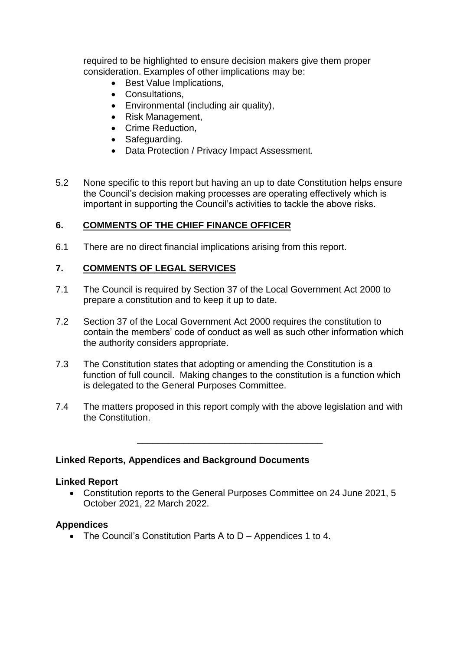required to be highlighted to ensure decision makers give them proper consideration. Examples of other implications may be:

- Best Value Implications,
- Consultations,
- Environmental (including air quality),
- Risk Management,
- Crime Reduction,
- Safeguarding.
- Data Protection / Privacy Impact Assessment.
- 5.2 None specific to this report but having an up to date Constitution helps ensure the Council's decision making processes are operating effectively which is important in supporting the Council's activities to tackle the above risks.

### **6. COMMENTS OF THE CHIEF FINANCE OFFICER**

6.1 There are no direct financial implications arising from this report.

#### **7. COMMENTS OF LEGAL SERVICES**

- 7.1 The Council is required by Section 37 of the Local Government Act 2000 to prepare a constitution and to keep it up to date.
- 7.2 Section 37 of the Local Government Act 2000 requires the constitution to contain the members' code of conduct as well as such other information which the authority considers appropriate.
- 7.3 The Constitution states that adopting or amending the Constitution is a function of full council. Making changes to the constitution is a function which is delegated to the General Purposes Committee.
- 7.4 The matters proposed in this report comply with the above legislation and with the Constitution.

\_\_\_\_\_\_\_\_\_\_\_\_\_\_\_\_\_\_\_\_\_\_\_\_\_\_\_\_\_\_\_\_\_\_\_\_

#### **Linked Reports, Appendices and Background Documents**

#### **Linked Report**

 Constitution reports to the General Purposes Committee on 24 June 2021, 5 October 2021, 22 March 2022.

#### **Appendices**

The Council's Constitution Parts A to D – Appendices 1 to 4.